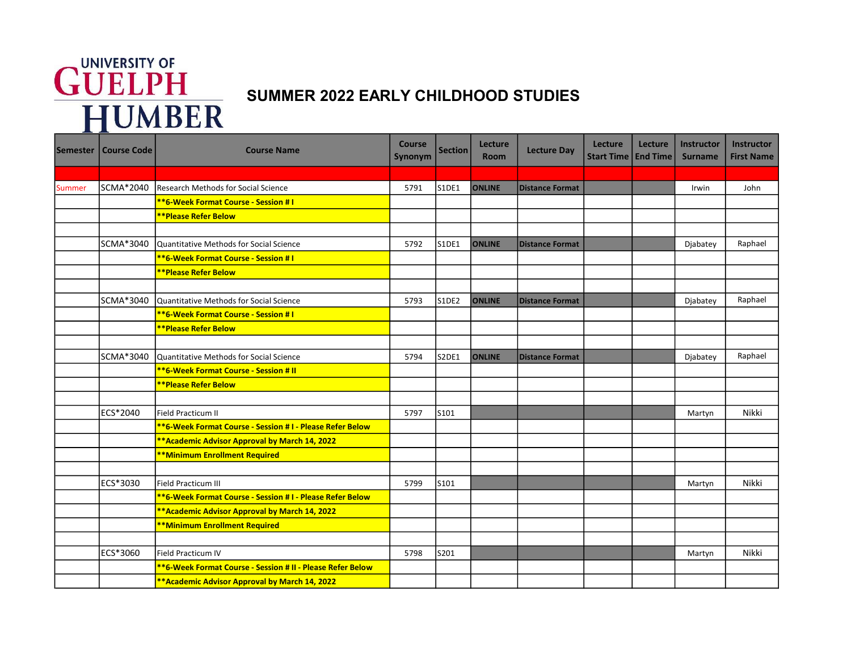## **GUELPH**<br>HUMBER

## SUMMER 2022 EARLY CHILDHOOD STUDIES

| <b>Semester</b> | <b>Course Code</b> | <b>Course Name</b>                                                | <b>Course</b><br>Synonym | <b>Section</b> | Lecture<br><b>Room</b> | <b>Lecture Day</b>     | Lecture<br>Start Time   End Time | Lecture | Instructor<br><b>Surname</b> | <b>Instructor</b><br><b>First Name</b> |
|-----------------|--------------------|-------------------------------------------------------------------|--------------------------|----------------|------------------------|------------------------|----------------------------------|---------|------------------------------|----------------------------------------|
|                 |                    |                                                                   |                          |                |                        |                        |                                  |         |                              |                                        |
| Summer          | SCMA*2040          | Research Methods for Social Science                               | 5791                     | S1DE1          | <b>ONLINE</b>          | <b>Distance Format</b> |                                  |         | Irwin                        | John                                   |
|                 |                    | <b>**6-Week Format Course - Session #1</b>                        |                          |                |                        |                        |                                  |         |                              |                                        |
|                 |                    | <b>**Please Refer Below</b>                                       |                          |                |                        |                        |                                  |         |                              |                                        |
|                 |                    |                                                                   |                          |                |                        |                        |                                  |         |                              |                                        |
|                 | SCMA*3040          | Quantitative Methods for Social Science                           | 5792                     | S1DE1          | <b>ONLINE</b>          | <b>Distance Format</b> |                                  |         | Djabatey                     | Raphael                                |
|                 |                    | **6-Week Format Course - Session # I                              |                          |                |                        |                        |                                  |         |                              |                                        |
|                 |                    | <b>**Please Refer Below</b>                                       |                          |                |                        |                        |                                  |         |                              |                                        |
|                 |                    |                                                                   |                          |                |                        |                        |                                  |         |                              |                                        |
|                 | SCMA*3040          | Quantitative Methods for Social Science                           | 5793                     | S1DE2          | <b>ONLINE</b>          | <b>Distance Format</b> |                                  |         | Djabatey                     | Raphael                                |
|                 |                    | **6-Week Format Course - Session #1                               |                          |                |                        |                        |                                  |         |                              |                                        |
|                 |                    | <b>**Please Refer Below</b>                                       |                          |                |                        |                        |                                  |         |                              |                                        |
|                 |                    |                                                                   |                          |                |                        |                        |                                  |         |                              |                                        |
|                 | SCMA*3040          | Quantitative Methods for Social Science                           | 5794                     | S2DE1          | <b>ONLINE</b>          | <b>Distance Format</b> |                                  |         | Djabatey                     | Raphael                                |
|                 |                    | **6-Week Format Course - Session # II                             |                          |                |                        |                        |                                  |         |                              |                                        |
|                 |                    | <b>**Please Refer Below</b>                                       |                          |                |                        |                        |                                  |         |                              |                                        |
|                 |                    |                                                                   |                          |                |                        |                        |                                  |         |                              |                                        |
|                 | ECS*2040           | Field Practicum II                                                | 5797                     | S101           |                        |                        |                                  |         | Martyn                       | Nikki                                  |
|                 |                    | <b>**6-Week Format Course - Session #1 - Please Refer Below</b>   |                          |                |                        |                        |                                  |         |                              |                                        |
|                 |                    | ** Academic Advisor Approval by March 14, 2022                    |                          |                |                        |                        |                                  |         |                              |                                        |
|                 |                    | **Minimum Enrollment Required                                     |                          |                |                        |                        |                                  |         |                              |                                        |
|                 |                    |                                                                   |                          |                |                        |                        |                                  |         |                              |                                        |
|                 | ECS*3030           | Field Practicum III                                               | 5799                     | S101           |                        |                        |                                  |         | Martyn                       | Nikki                                  |
|                 |                    | **6-Week Format Course - Session # I - Please Refer Below         |                          |                |                        |                        |                                  |         |                              |                                        |
|                 |                    | ** Academic Advisor Approval by March 14, 2022                    |                          |                |                        |                        |                                  |         |                              |                                        |
|                 |                    | **Minimum Enrollment Required                                     |                          |                |                        |                        |                                  |         |                              |                                        |
|                 |                    |                                                                   |                          |                |                        |                        |                                  |         |                              |                                        |
|                 | ECS*3060           | Field Practicum IV                                                | 5798                     | S201           |                        |                        |                                  |         | Martyn                       | Nikki                                  |
|                 |                    | <b>**6-Week Format Course - Session # II - Please Refer Below</b> |                          |                |                        |                        |                                  |         |                              |                                        |
|                 |                    | ** Academic Advisor Approval by March 14, 2022                    |                          |                |                        |                        |                                  |         |                              |                                        |